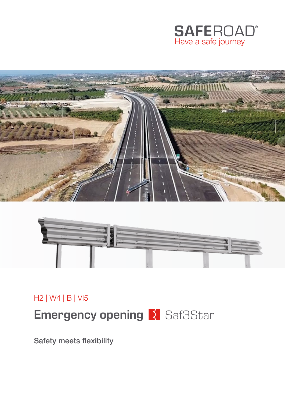





H2 | W4 | B | VI5

**Emergency opening R** Saf3Star

Safety meets flexibility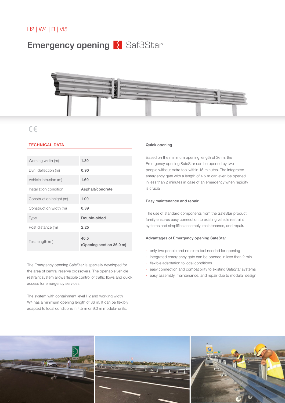# **Emergency opening | Saf3Star**



# $c\epsilon$

# TECHNICAL DATA

| Working width (m)       | 1.30                             |
|-------------------------|----------------------------------|
| Dyn. deflection (m)     | 0.90                             |
| Vehicle intrusion (m)   | 1.60                             |
| Installation condition  | Asphalt/concrete                 |
| Construction height (m) | 1.00                             |
| Construction width (m)  | 0.39                             |
| <b>Type</b>             | Double-sided                     |
| Post distance (m)       | 2.25                             |
| Test length (m)         | 40.5<br>(Opening section 36.0 m) |

The Emergency opening SafeStar is specially developed for the area of central reserve crossovers. The openable vehicle restraint system allows flexible control of traffic flows and quick access for emergency services.

The system with containment level H2 and working width W4 has a minimum opening length of 36 m. It can be flexibly adapted to local conditions in 4.5 m or 9.0 m modular units.

#### Quick opening

Based on the minimum opening length of 36 m, the Emergency opening SafeStar can be opened by two people without extra tool within 15 minutes. The integrated emergency gate with a length of 4.5 m can even be opened in less than 2 minutes in case of an emergency when rapidity is crucial.

## Easy maintenance and repair

The use of standard components from the SafeStar product family ensures easy connection to existing vehicle restraint systems and simplifies assembly, maintenance, and repair.

## Advantages of Emergency opening SafeStar

- · only two people and no extra tool needed for opening
- · integrated emergency gate can be opened in less than 2 min.
- flexible adaptation to local conditions
- · easy connection and compatibility to existing SafeStar systems
- · easy assembly, maintenance, and repair due to modular design

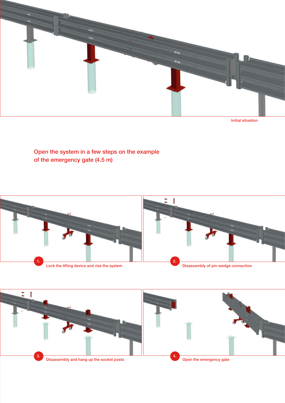

Initial situation

Open the system in a few steps on the example of the emergency gate (4.5 m)